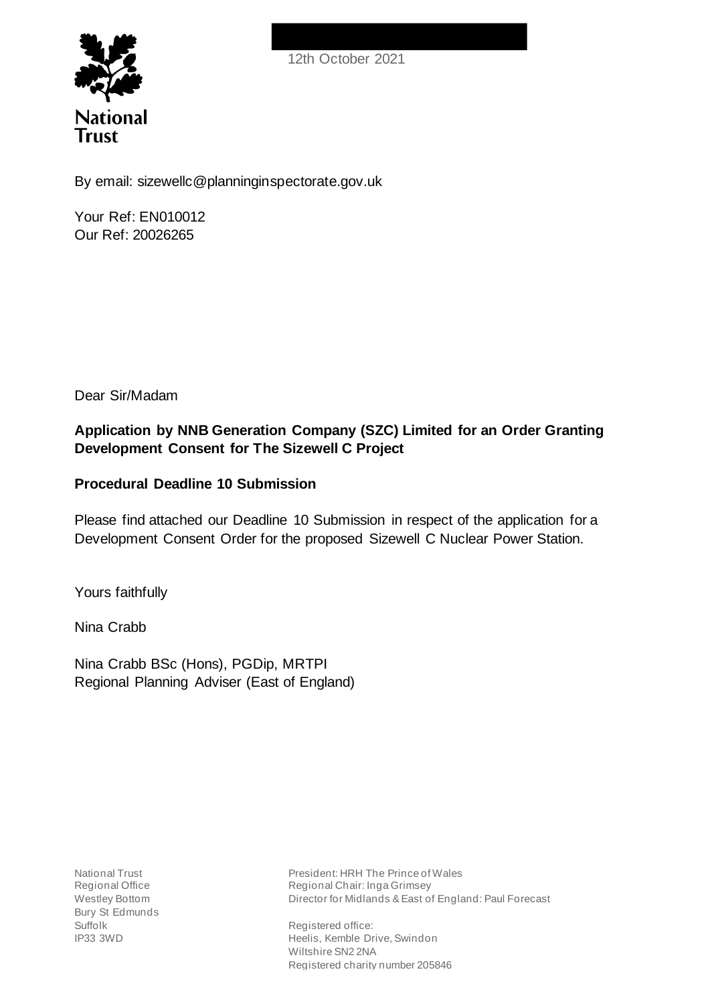



By email: sizewellc@planninginspectorate.gov.uk

Your Ref: EN010012 Our Ref: 20026265

Dear Sir/Madam

# **Application by NNB Generation Company (SZC) Limited for an Order Granting Development Consent for The Sizewell C Project**

## **Procedural Deadline 10 Submission**

Please find attached our Deadline 10 Submission in respect of the application for a Development Consent Order for the proposed Sizewell C Nuclear Power Station.

Yours faithfully

Nina Crabb

Nina Crabb BSc (Hons), PGDip, MRTPI Regional Planning Adviser (East of England)

National Trust Regional Office Westley Bottom Bury St Edmunds Suffolk IP33 3WD

President: HRH The Prince of Wales Regional Chair: Inga Grimsey Director for Midlands & East of England: Paul Forecast

Registered office: Heelis, Kemble Drive, Swindon Wiltshire SN2 2NA Registered charity number 205846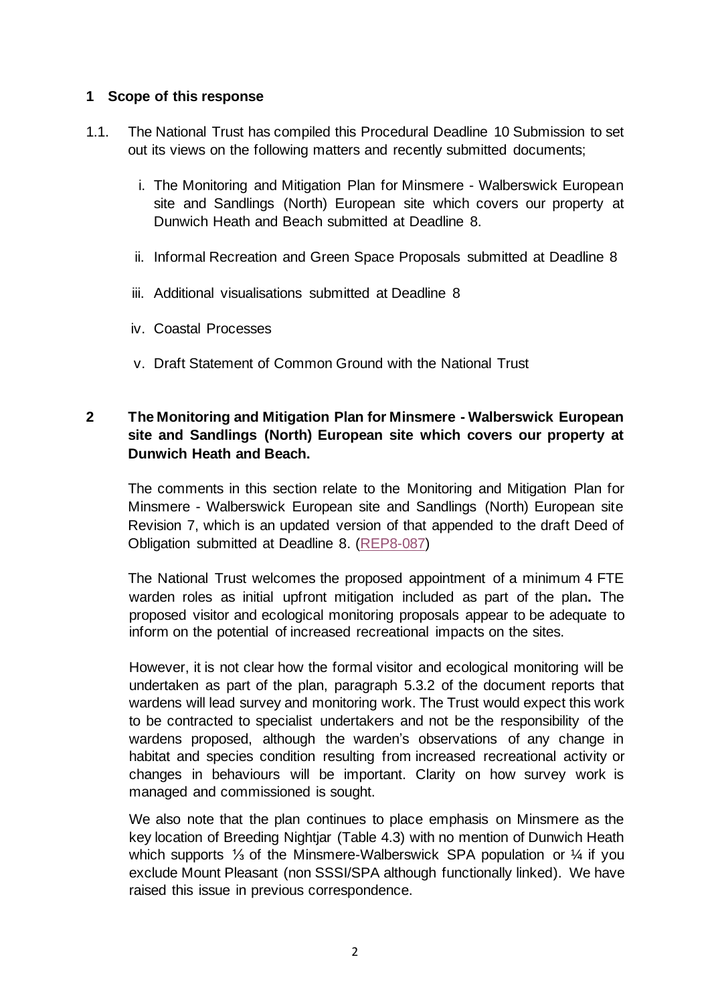### **1 Scope of this response**

- 1.1. The National Trust has compiled this Procedural Deadline 10 Submission to set out its views on the following matters and recently submitted documents;
	- i. The Monitoring and Mitigation Plan for Minsmere Walberswick European site and Sandlings (North) European site which covers our property at Dunwich Heath and Beach submitted at Deadline 8.
	- ii. Informal Recreation and Green Space Proposals submitted at Deadline 8
	- iii. Additional visualisations submitted at Deadline 8
	- iv. Coastal Processes
	- v. Draft Statement of Common Ground with the National Trust

## **2 The Monitoring and Mitigation Plan for Minsmere - Walberswick European site and Sandlings (North) European site which covers our property at Dunwich Heath and Beach.**

The comments in this section relate to the Monitoring and Mitigation Plan for Minsmere - Walberswick European site and Sandlings (North) European site Revision 7, which is an updated version of that appended to the draft Deed of Obligation submitted at Deadline 8. (REP8-087)

The National Trust welcomes the proposed appointment of a minimum 4 FTE warden roles as initial upfront mitigation included as part of the plan**.** The proposed visitor and ecological monitoring proposals appear to be adequate to inform on the potential of increased recreational impacts on the sites.

However, it is not clear how the formal visitor and ecological monitoring will be undertaken as part of the plan, paragraph 5.3.2 of the document reports that wardens will lead survey and monitoring work. The Trust would expect this work to be contracted to specialist undertakers and not be the responsibility of the wardens proposed, although the warden's observations of any change in habitat and species condition resulting from increased recreational activity or changes in behaviours will be important. Clarity on how survey work is managed and commissioned is sought.

We also note that the plan continues to place emphasis on Minsmere as the key location of Breeding Nightjar (Table 4.3) with no mention of Dunwich Heath which supports ¼ of the Minsmere-Walberswick SPA population or ¼ if you exclude Mount Pleasant (non SSSI/SPA although functionally linked). We have raised this issue in previous correspondence.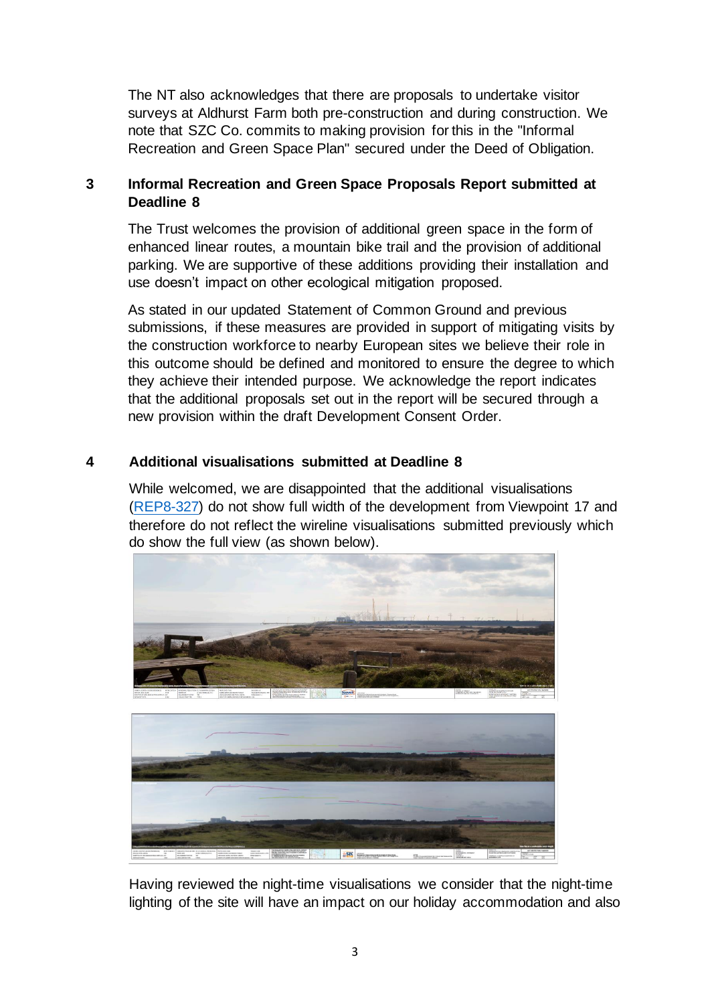The NT also acknowledges that there are proposals to undertake visitor surveys at Aldhurst Farm both pre-construction and during construction. We note that SZC Co. commits to making provision for this in the "Informal Recreation and Green Space Plan" secured under the Deed of Obligation.

## **3 Informal Recreation and Green Space Proposals Report submitted at Deadline 8**

The Trust welcomes the provision of additional green space in the form of enhanced linear routes, a mountain bike trail and the provision of additional parking. We are supportive of these additions providing their installation and use doesn't impact on other ecological mitigation proposed.

As stated in our updated Statement of Common Ground and previous submissions, if these measures are provided in support of mitigating visits by the construction workforce to nearby European sites we believe their role in this outcome should be defined and monitored to ensure the degree to which they achieve their intended purpose. We acknowledge the report indicates that the additional proposals set out in the report will be secured through a new provision within the draft Development Consent Order.

## **4 Additional visualisations submitted at Deadline 8**

While welcomed, we are disappointed that the additional visualisations (REP8-327) do not show full width of the development from Viewpoint 17 and therefore do not reflect the wireline visualisations submitted previously which do show the full view (as shown below).



Having reviewed the night-time visualisations we consider that the night-time lighting of the site will have an impact on our holiday accommodation and also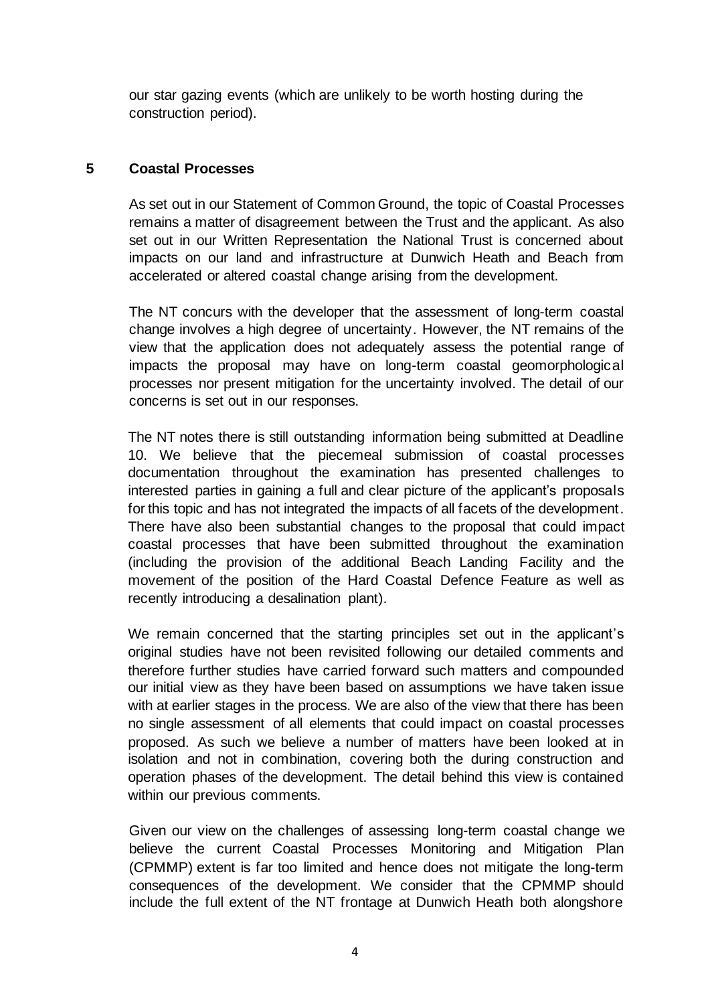our star gazing events (which are unlikely to be worth hosting during the construction period).

#### **5 Coastal Processes**

As set out in our Statement of Common Ground, the topic of Coastal Processes remains a matter of disagreement between the Trust and the applicant. As also set out in our Written Representation the National Trust is concerned about impacts on our land and infrastructure at Dunwich Heath and Beach from accelerated or altered coastal change arising from the development.

The NT concurs with the developer that the assessment of long-term coastal change involves a high degree of uncertainty. However, the NT remains of the view that the application does not adequately assess the potential range of impacts the proposal may have on long-term coastal geomorphological processes nor present mitigation for the uncertainty involved. The detail of our concerns is set out in our responses.

The NT notes there is still outstanding information being submitted at Deadline 10. We believe that the piecemeal submission of coastal processes documentation throughout the examination has presented challenges to interested parties in gaining a full and clear picture of the applicant's proposals for this topic and has not integrated the impacts of all facets of the development. There have also been substantial changes to the proposal that could impact coastal processes that have been submitted throughout the examination (including the provision of the additional Beach Landing Facility and the movement of the position of the Hard Coastal Defence Feature as well as recently introducing a desalination plant).

We remain concerned that the starting principles set out in the applicant's original studies have not been revisited following our detailed comments and therefore further studies have carried forward such matters and compounded our initial view as they have been based on assumptions we have taken issue with at earlier stages in the process. We are also of the view that there has been no single assessment of all elements that could impact on coastal processes proposed. As such we believe a number of matters have been looked at in isolation and not in combination, covering both the during construction and operation phases of the development. The detail behind this view is contained within our previous comments.

Given our view on the challenges of assessing long-term coastal change we believe the current Coastal Processes Monitoring and Mitigation Plan (CPMMP) extent is far too limited and hence does not mitigate the long-term consequences of the development. We consider that the CPMMP should include the full extent of the NT frontage at Dunwich Heath both alongshore